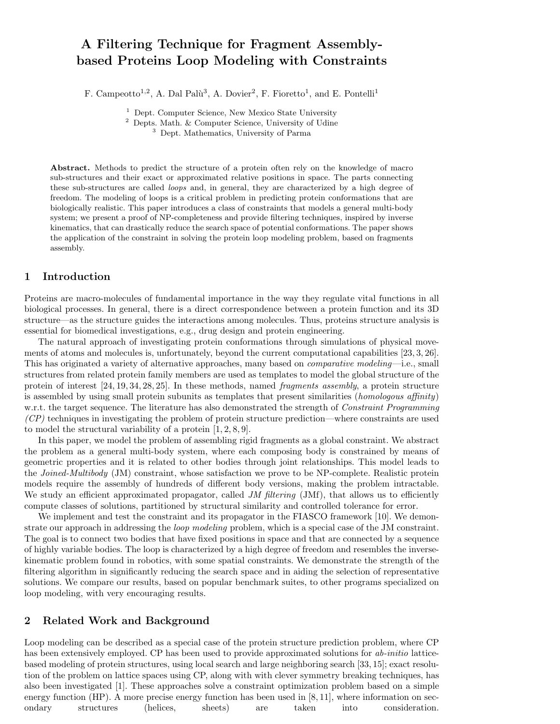# A Filtering Technique for Fragment Assemblybased Proteins Loop Modeling with Constraints

F. Campeotto<sup>1,2</sup>, A. Dal Palù<sup>3</sup>, A. Dovier<sup>2</sup>, F. Fioretto<sup>1</sup>, and E. Pontelli<sup>1</sup>

<sup>1</sup> Dept. Computer Science, New Mexico State University

<sup>2</sup> Depts. Math. & Computer Science, University of Udine

<sup>3</sup> Dept. Mathematics, University of Parma

Abstract. Methods to predict the structure of a protein often rely on the knowledge of macro sub-structures and their exact or approximated relative positions in space. The parts connecting these sub-structures are called loops and, in general, they are characterized by a high degree of freedom. The modeling of loops is a critical problem in predicting protein conformations that are biologically realistic. This paper introduces a class of constraints that models a general multi-body system; we present a proof of NP-completeness and provide filtering techniques, inspired by inverse kinematics, that can drastically reduce the search space of potential conformations. The paper shows the application of the constraint in solving the protein loop modeling problem, based on fragments assembly.

# 1 Introduction

Proteins are macro-molecules of fundamental importance in the way they regulate vital functions in all biological processes. In general, there is a direct correspondence between a protein function and its 3D structure—as the structure guides the interactions among molecules. Thus, proteins structure analysis is essential for biomedical investigations, e.g., drug design and protein engineering.

The natural approach of investigating protein conformations through simulations of physical movements of atoms and molecules is, unfortunately, beyond the current computational capabilities [23, 3, 26]. This has originated a variety of alternative approaches, many based on comparative modeling—i.e., small structures from related protein family members are used as templates to model the global structure of the protein of interest [24, 19, 34, 28, 25]. In these methods, named fragments assembly, a protein structure is assembled by using small protein subunits as templates that present similarities (homologous affinity) w.r.t. the target sequence. The literature has also demonstrated the strength of Constraint Programming  $(CP)$  techniques in investigating the problem of protein structure prediction—where constraints are used to model the structural variability of a protein [1, 2, 8, 9].

In this paper, we model the problem of assembling rigid fragments as a global constraint. We abstract the problem as a general multi-body system, where each composing body is constrained by means of geometric properties and it is related to other bodies through joint relationships. This model leads to the Joined-Multibody (JM) constraint, whose satisfaction we prove to be NP-complete. Realistic protein models require the assembly of hundreds of different body versions, making the problem intractable. We study an efficient approximated propagator, called  $JM$  filtering (JMf), that allows us to efficiently compute classes of solutions, partitioned by structural similarity and controlled tolerance for error.

We implement and test the constraint and its propagator in the FIASCO framework [10]. We demonstrate our approach in addressing the *loop modeling* problem, which is a special case of the JM constraint. The goal is to connect two bodies that have fixed positions in space and that are connected by a sequence of highly variable bodies. The loop is characterized by a high degree of freedom and resembles the inversekinematic problem found in robotics, with some spatial constraints. We demonstrate the strength of the filtering algorithm in significantly reducing the search space and in aiding the selection of representative solutions. We compare our results, based on popular benchmark suites, to other programs specialized on loop modeling, with very encouraging results.

# 2 Related Work and Background

Loop modeling can be described as a special case of the protein structure prediction problem, where CP has been extensively employed. CP has been used to provide approximated solutions for ab-initio latticebased modeling of protein structures, using local search and large neighboring search [33, 15]; exact resolution of the problem on lattice spaces using CP, along with with clever symmetry breaking techniques, has also been investigated [1]. These approaches solve a constraint optimization problem based on a simple energy function (HP). A more precise energy function has been used in [8, 11], where information on secondary structures (helices, sheets) are taken into consideration.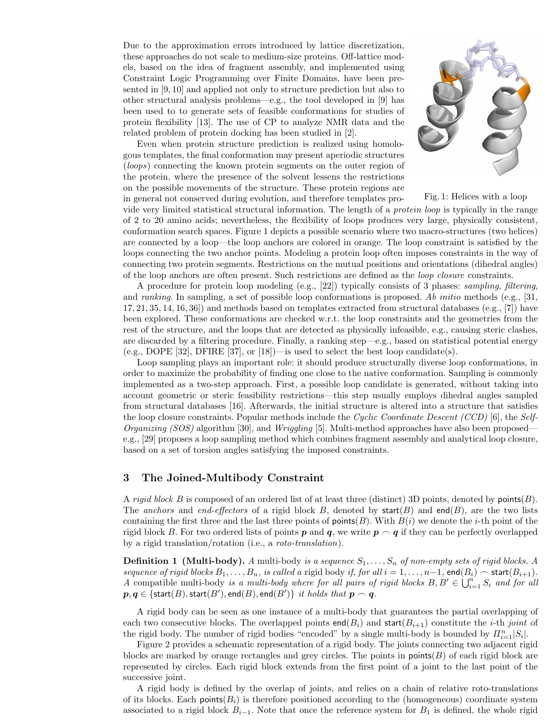Due to the approximation errors introduced by lattice discretization, these approaches do not scale to medium-size proteins. Off-lattice models, based on the idea of fragment assembly, and implemented using Constraint Logic Programming over Finite Domains, have been presented in [9, 10] and applied not only to structure prediction but also to other structural analysis problems—e.g., the tool developed in [9] has been used to to generate sets of feasible conformations for studies of protein flexibility [13]. The use of CP to analyze NMR data and the related problem of protein docking has been studied in [2].

Even when protein structure prediction is realized using homologous templates, the final conformation may present aperiodic structures (loops) connecting the known protein segments on the outer region of the protein, where the presence of the solvent lessens the restrictions on the possible movements of the structure. These protein regions are in general not conserved during evolution, and therefore templates pro-



Fig. 1: Helices with a loop

vide very limited statistical structural information. The length of a protein loop is typically in the range of 2 to 20 amino acids; nevertheless, the flexibility of loops produces very large, physically consistent, conformation search spaces. Figure 1 depicts a possible scenario where two macro-structures (two helices) are connected by a loop—the loop anchors are colored in orange. The loop constraint is satisfied by the loops connecting the two anchor points. Modeling a protein loop often imposes constraints in the way of connecting two protein segments. Restrictions on the mutual positions and orientations (dihedral angles) of the loop anchors are often present. Such restrictions are defined as the loop closure constraints.

A procedure for protein loop modeling (e.g., [22]) typically consists of 3 phases: sampling, filtering, and ranking. In sampling, a set of possible loop conformations is proposed. Ab initio methods (e.g., [31, 17, 21, 35, 14, 16, 36]) and methods based on templates extracted from structural databases (e.g., [7]) have been explored. These conformations are checked w.r.t. the loop constraints and the geometries from the rest of the structure, and the loops that are detected as physically infeasible, e.g., causing steric clashes, are discarded by a filtering procedure. Finally, a ranking step—e.g., based on statistical potential energy (e.g., DOPE [32], DFIRE [37], or [18])—is used to select the best loop candidate(s).

Loop sampling plays an important role: it should produce structurally diverse loop conformations, in order to maximize the probability of finding one close to the native conformation. Sampling is commonly implemented as a two-step approach. First, a possible loop candidate is generated, without taking into account geometric or steric feasibility restrictions—this step usually employs dihedral angles sampled from structural databases [16]. Afterwards, the initial structure is altered into a structure that satisfies the loop closure constraints. Popular methods include the Cyclic Coordinate Descent (CCD) [6], the Self-Organizing (SOS) algorithm [30], and Wriggling [5]. Multi-method approaches have also been proposed e.g., [29] proposes a loop sampling method which combines fragment assembly and analytical loop closure, based on a set of torsion angles satisfying the imposed constraints.

# 3 The Joined-Multibody Constraint

A rigid block B is composed of an ordered list of at least three (distinct) 3D points, denoted by points(B). The anchors and end-effectors of a rigid block B, denoted by  $start(B)$  and  $end(B)$ , are the two lists containing the first three and the last three points of points  $(B)$ . With  $B(i)$  we denote the *i*-th point of the rigid block B. For two ordered lists of points p and q, we write  $p \sim q$  if they can be perfectly overlapped by a rigid translation/rotation (i.e., a roto-translation).

**Definition 1** (Multi-body). A multi-body is a sequence  $S_1, \ldots, S_n$  of non-empty sets of rigid blocks. A sequence of rigid blocks  $B_1, \ldots, B_n$ , is called a rigid body if, for all  $i = 1, \ldots, n-1$ , end $(B_i) \frown \text{start}(B_{i+1})$ . A compatible multi-body is a multi-body where for all pairs of rigid blocks  $B, B' \in \bigcup_{i=1}^{n} S_i$  and for all  $\bm{p},\bm{q}\in\{\textsf{start}(B),\textsf{start}(B'),\textsf{end}(B),\textsf{end}(B')\}$  it holds that  $\bm{p}\frown\bm{q}.$ 

A rigid body can be seen as one instance of a multi-body that guarantees the partial overlapping of each two consecutive blocks. The overlapped points  $end(B_i)$  and start $(B_{i+1})$  constitute the *i*-th *joint* of the rigid body. The number of rigid bodies "encoded" by a single multi-body is bounded by  $\prod_{i=1}^{n} |S_i|$ .

Figure 2 provides a schematic representation of a rigid body. The joints connecting two adjacent rigid blocks are marked by orange rectangles and grey circles. The points in **points** $(B)$  of each rigid block are represented by circles. Each rigid block extends from the first point of a joint to the last point of the successive joint.

A rigid body is defined by the overlap of joints, and relies on a chain of relative roto-translations of its blocks. Each points( $B_i$ ) is therefore positioned according to the (homogeneous) coordinate system associated to a rigid block  $B_{i-1}$ . Note that once the reference system for  $B_1$  is defined, the whole rigid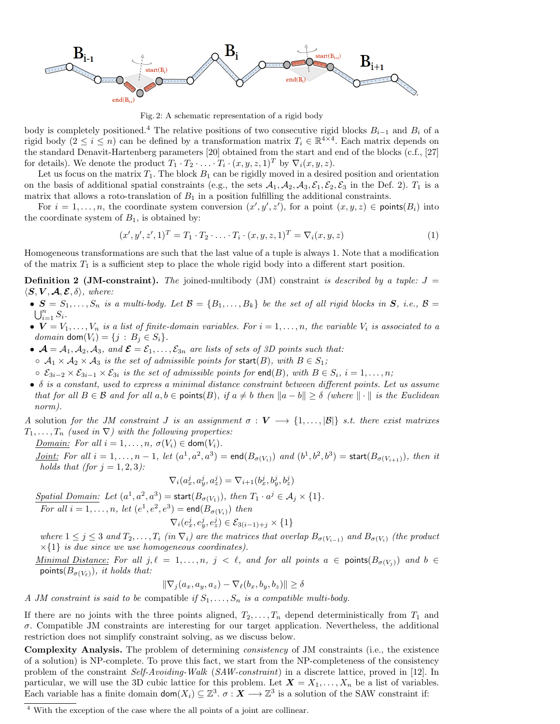

Fig. 2: A schematic representation of a rigid body

body is completely positioned.<sup>4</sup> The relative positions of two consecutive rigid blocks  $B_{i-1}$  and  $B_i$  of a rigid body  $(2 \leq i \leq n)$  can be defined by a transformation matrix  $T_i \in \mathbb{R}^{4 \times 4}$ . Each matrix depends on the standard Denavit-Hartenberg parameters [20] obtained from the start and end of the blocks (c.f., [27] for details). We denote the product  $T_1 \cdot T_2 \cdot \ldots \cdot T_i \cdot (x, y, z, 1)^T$  by  $\nabla_i(x, y, z)$ .

Let us focus on the matrix  $T_1$ . The block  $B_1$  can be rigidly moved in a desired position and orientation on the basis of additional spatial constraints (e.g., the sets  $\mathcal{A}_1, \mathcal{A}_2, \mathcal{A}_3, \mathcal{E}_1, \mathcal{E}_2, \mathcal{E}_3$  in the Def. 2).  $T_1$  is a matrix that allows a roto-translation of  $B_1$  in a position fulfilling the additional constraints.

For  $i = 1, \ldots, n$ , the coordinate system conversion  $(x', y', z')$ , for a point  $(x, y, z) \in \text{points}(B_i)$  into the coordinate system of  $B_1$ , is obtained by:

$$
(x', y', z', 1)^T = T_1 \cdot T_2 \cdot \ldots \cdot T_i \cdot (x, y, z, 1)^T = \nabla_i(x, y, z)
$$
\n(1)

Homogeneous transformations are such that the last value of a tuple is always 1. Note that a modification of the matrix  $T_1$  is a sufficient step to place the whole rigid body into a different start position.

**Definition 2 (JM-constraint).** The joined-multibody (JM) constraint is described by a tuple:  $J =$  $\langle S, V, A, \mathcal{E}, \delta \rangle$ , where:

- $S = S_1, \ldots, S_n$  is a multi-body. Let  $\mathcal{B} = \{B_1, \ldots, B_k\}$  be the set of all rigid blocks in  $S$ , i.e.,  $\mathcal{B} =$  $\bigcup_{i=1}^n S_i$ .
- $V = V_1, \ldots, V_n$  is a list of finite-domain variables. For  $i = 1, \ldots, n$ , the variable  $V_i$  is associated to a domain dom $(V_i) = \{j : B_j \in S_i\}.$
- $\mathcal{A} = A_1, A_2, A_3,$  and  $\mathcal{E} = \mathcal{E}_1, \ldots, \mathcal{E}_{3n}$  are lists of sets of 3D points such that:  $\circ$   $\mathcal{A}_1 \times \mathcal{A}_2 \times \mathcal{A}_3$  is the set of admissible points for start(B), with  $B \in S_1$ ;
- $\circ \mathcal{E}_{3i-2} \times \mathcal{E}_{3i-1} \times \mathcal{E}_{3i}$  is the set of admissible points for end(B), with  $B \in S_i$ ,  $i = 1, \ldots, n$ ;
- $\delta$  is a constant, used to express a minimal distance constraint between different points. Let us assume that for all  $B \in \mathcal{B}$  and for all  $a, b \in \text{points}(B)$ , if  $a \neq b$  then  $||a - b|| \geq \delta$  (where  $|| \cdot ||$  is the Euclidean norm).

A solution for the JM constraint J is an assignment  $\sigma: V \longrightarrow \{1, \ldots, |\mathcal{B}|\}$  s.t. there exist matrixes  $T_1, \ldots, T_n$  (used in  $\nabla$ ) with the following properties:

Domain: For all  $i = 1, \ldots, n$ ,  $\sigma(V_i) \in \text{dom}(V_i)$ .

<u>Joint:</u> For all  $i = 1, ..., n - 1$ , let  $(a^1, a^2, a^3) = \text{end}(B_{\sigma(V_i)})$  and  $(b^1, b^2, b^3) = \text{start}(B_{\sigma(V_{i+1})})$ , then it holds that (for  $j = 1, 2, 3$ ):

$$
\nabla_i(a_x^j,a_y^j,a_z^j) = \nabla_{i+1}(b_x^j,b_y^j,b_z^j)
$$

Spatial Domain: Let  $(a^1, a^2, a^3) = \text{start}(B_{\sigma(V_1)})$ , then  $T_1 \cdot a^j \in A_j \times \{1\}$ . For all  $i = 1, ..., n$ , let  $(e^1, e^2, e^3) = \text{end}(B_{\sigma(V_i)})$  then  $\nabla_i(e_x^j, e_y^j, e_z^j) \in \mathcal{E}_{3(i-1)+j} \times \{1\}$ 

where  $1 \leq j \leq 3$  and  $T_2, \ldots, T_i$  (in  $\nabla_i$ ) are the matrices that overlap  $B_{\sigma(V_{i-1})}$  and  $B_{\sigma(V_i)}$  (the product  $\times$ {1} is due since we use homogeneous coordinates).

Minimal Distance: For all  $j, \ell = 1, \ldots, n, j < \ell$ , and for all points  $a \in \text{points}(B_{\sigma(V_i)})$  and  $b \in$ points $(B_{\sigma(V_{\ell})})$ , it holds that:

$$
\|\nabla_j(a_x, a_y, a_z) - \nabla_\ell(b_x, b_y, b_z)\| \ge \delta
$$

A JM constraint is said to be compatible if  $S_1, \ldots, S_n$  is a compatible multi-body.

If there are no joints with the three points aligned,  $T_2, \ldots, T_n$  depend deterministically from  $T_1$  and  $\sigma$ . Compatible JM constraints are interesting for our target application. Nevertheless, the additional restriction does not simplify constraint solving, as we discuss below.

Complexity Analysis. The problem of determining *consistency* of JM constraints (i.e., the existence of a solution) is NP-complete. To prove this fact, we start from the NP-completeness of the consistency problem of the constraint Self-Avoiding-Walk (SAW-constraint) in a discrete lattice, proved in [12]. In particular, we will use the 3D cubic lattice for this problem. Let  $X = X_1, \ldots, X_n$  be a list of variables. Each variable has a finite domain  $\mathsf{dom}(X_i) \subseteq \mathbb{Z}^3$ .  $\sigma : \mathbf{X} \longrightarrow \mathbb{Z}^3$  is a solution of the SAW constraint if:

<sup>4</sup> With the exception of the case where the all points of a joint are collinear.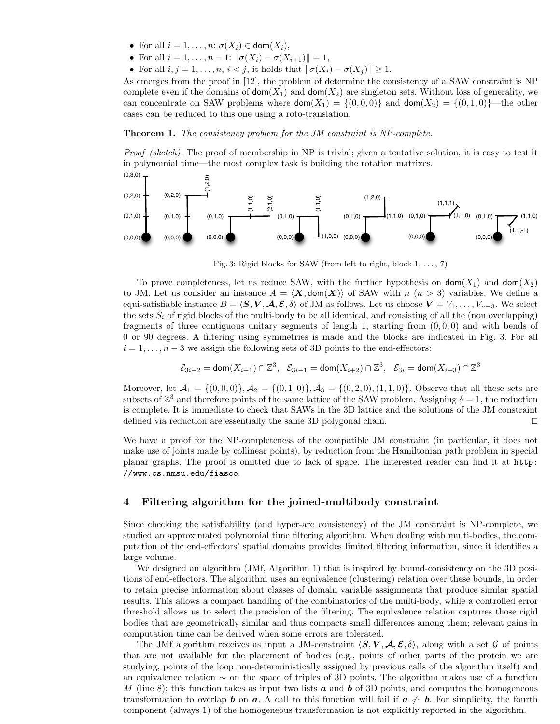- For all  $i = 1, \ldots, n$ :  $\sigma(X_i) \in \text{dom}(X_i)$ ,
- For all  $i = 1, ..., n 1$ :  $\|\sigma(X_i) \sigma(X_{i+1})\| = 1$ ,
- For all  $i, j = 1, \ldots, n, i < j$ , it holds that  $\|\sigma(X_i) \sigma(X_j)\| \geq 1$ .

As emerges from the proof in [12], the problem of determine the consistency of a SAW constraint is NP complete even if the domains of  $\text{dom}(X_1)$  and  $\text{dom}(X_2)$  are singleton sets. Without loss of generality, we can concentrate on SAW problems where  $\text{dom}(X_1) = \{(0,0,0)\}\$  and  $\text{dom}(X_2) = \{(0,1,0)\}\$ —the other cases can be reduced to this one using a roto-translation.

### Theorem 1. The consistency problem for the JM constraint is NP-complete.

Proof (sketch). The proof of membership in NP is trivial; given a tentative solution, it is easy to test it in polynomial time—the most complex task is building the rotation matrixes.



Fig. 3: Rigid blocks for SAW (from left to right, block  $1, \ldots, 7$ )

To prove completeness, let us reduce SAW, with the further hypothesis on  $\text{dom}(X_1)$  and  $\text{dom}(X_2)$ to JM. Let us consider an instance  $A = \langle X, \text{dom}(X) \rangle$  of SAW with  $n \ (n > 3)$  variables. We define a equi-satisfiable instance  $B = \langle \mathbf{S}, \mathbf{V}, \mathbf{A}, \mathbf{E}, \delta \rangle$  of JM as follows. Let us choose  $\mathbf{V} = V_1, \ldots, V_{n-3}$ . We select the sets  $S_i$  of rigid blocks of the multi-body to be all identical, and consisting of all the (non overlapping) fragments of three contiguous unitary segments of length 1, starting from  $(0, 0, 0)$  and with bends of 0 or 90 degrees. A filtering using symmetries is made and the blocks are indicated in Fig. 3. For all  $i = 1, \ldots, n-3$  we assign the following sets of 3D points to the end-effectors:

$$
\mathcal{E}_{3i-2}=\text{dom}(X_{i+1})\cap\mathbb{Z}^3,\ \ \mathcal{E}_{3i-1}=\text{dom}(X_{i+2})\cap\mathbb{Z}^3,\ \ \mathcal{E}_{3i}=\text{dom}(X_{i+3})\cap\mathbb{Z}^3
$$

Moreover, let  $A_1 = \{(0,0,0)\}, A_2 = \{(0,1,0)\}, A_3 = \{(0,2,0), (1,1,0)\}.$  Observe that all these sets are subsets of  $\mathbb{Z}^3$  and therefore points of the same lattice of the SAW problem. Assigning  $\delta = 1$ , the reduction is complete. It is immediate to check that SAWs in the 3D lattice and the solutions of the JM constraint defined via reduction are essentially the same 3D polygonal chain.  $\Box$ 

We have a proof for the NP-completeness of the compatible JM constraint (in particular, it does not make use of joints made by collinear points), by reduction from the Hamiltonian path problem in special planar graphs. The proof is omitted due to lack of space. The interested reader can find it at http: //www.cs.nmsu.edu/fiasco.

# 4 Filtering algorithm for the joined-multibody constraint

Since checking the satisfiability (and hyper-arc consistency) of the JM constraint is NP-complete, we studied an approximated polynomial time filtering algorithm. When dealing with multi-bodies, the computation of the end-effectors' spatial domains provides limited filtering information, since it identifies a large volume.

We designed an algorithm (JMf, Algorithm 1) that is inspired by bound-consistency on the 3D positions of end-effectors. The algorithm uses an equivalence (clustering) relation over these bounds, in order to retain precise information about classes of domain variable assignments that produce similar spatial results. This allows a compact handling of the combinatorics of the multi-body, while a controlled error threshold allows us to select the precision of the filtering. The equivalence relation captures those rigid bodies that are geometrically similar and thus compacts small differences among them; relevant gains in computation time can be derived when some errors are tolerated.

The JMf algorithm receives as input a JM-constraint  $\langle S, V, A, \mathcal{E}, \delta \rangle$ , along with a set G of points that are not available for the placement of bodies (e.g., points of other parts of the protein we are studying, points of the loop non-deterministically assigned by previous calls of the algorithm itself) and an equivalence relation ∼ on the space of triples of 3D points. The algorithm makes use of a function M (line 8); this function takes as input two lists  $\boldsymbol{a}$  and  $\boldsymbol{b}$  of 3D points, and computes the homogeneous transformation to overlap b on a. A call to this function will fail if  $a \nightharpoondown b$ . For simplicity, the fourth component (always 1) of the homogeneous transformation is not explicitly reported in the algorithm.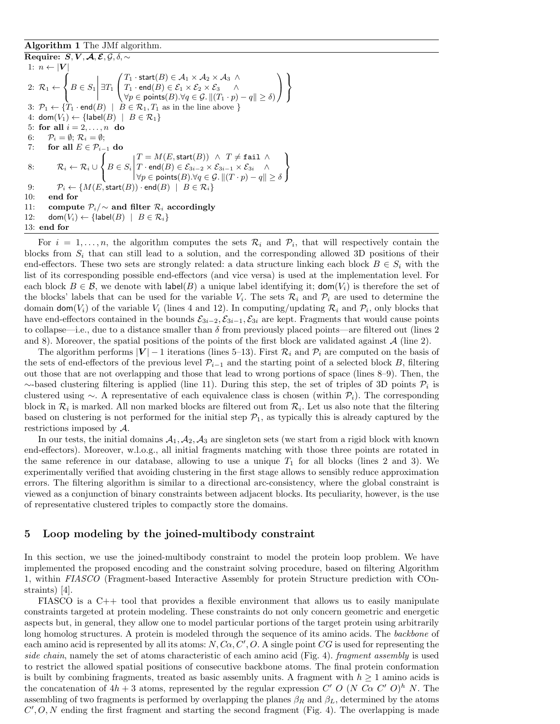#### Algorithm 1 The JMf algorithm.

Require:  $S, V, A, \mathcal{E}, \mathcal{G}, \delta, \sim$ 1:  $n \leftarrow |V|$ 2:  $\mathcal{R}_1 \leftarrow$  $\sqrt{ }$ J  $\mathcal{L}$  $B \in S_1$  ∃ $T_1$  $\sqrt{ }$  $\mathcal{L}$  $T_1 \cdot \mathsf{start}(B) \in \mathcal{A}_1 \times \mathcal{A}_2 \times \mathcal{A}_3$   $\wedge$  $T_1 \cdot \mathsf{end}(B) \in \mathcal{E}_1 \times \mathcal{E}_2 \times \mathcal{E}_3$   $\wedge$  $\forall p \in \mathsf{points}(B).\forall q \in \mathcal{G}.$   $\|(T_1 \cdot p) - q\| \geq \delta)$  $\setminus$  $\overline{1}$  $\mathcal{L}$  $\mathcal{L}$  $\mathsf{I}$ 3:  $\mathcal{P}_1 \leftarrow \{T_1 \cdot \text{end}(B) \mid B \in \mathcal{R}_1, T_1 \text{ as in the line above }\}$ 4: dom $(V_1) \leftarrow \{ \textsf{label}(B) \mid B \in \mathcal{R}_1 \}$ 5: for all  $i = 2, \ldots, n$  do 6:  $\mathcal{P}_i = \emptyset$ ;  $\mathcal{R}_i = \emptyset$ ; 7: for all  $E \in \mathcal{P}_{i-1}$  do 8:  $\mathcal{R}_i \leftarrow \mathcal{R}_i \cup$  $\sqrt{ }$ J  $\mathcal{L}$  $B \in S_i$  $T = M(E,{\sf start}(B)) \ \land \ T \neq {\tt fail} \ \land$  $T\cdot \textsf{end}(B) \in \mathcal{E}_{3i-2} \times \mathcal{E}_{3i-1} \times \mathcal{E}_{3i} \quad \wedge$  $\forall p \in \mathsf{points}(B). \forall q \in \mathcal{G}. \, \|(T \cdot p) - q\| \geq \delta$  $\mathcal{L}$  $\mathcal{L}$ J  $9: \qquad {\mathcal P}_i \leftarrow \{M(E,{\sf start}(B))\cdot{\sf end}(B) \ \mid \ B \in {\mathcal R}_i\}$ 10: end for 11: compute  $\mathcal{P}_i/\sim$  and filter  $\mathcal{R}_i$  accordingly 12: dom $(V_i) \leftarrow \{\textsf{label}(B) \mid B \in \mathcal{R}_i\}$ 13: end for

For  $i = 1, \ldots, n$ , the algorithm computes the sets  $\mathcal{R}_i$  and  $\mathcal{P}_i$ , that will respectively contain the blocks from  $S_i$  that can still lead to a solution, and the corresponding allowed 3D positions of their end-effectors. These two sets are strongly related: a data structure linking each block  $B \in S_i$  with the list of its corresponding possible end-effectors (and vice versa) is used at the implementation level. For each block  $B \in \mathcal{B}$ , we denote with label(B) a unique label identifying it;  $\text{dom}(V_i)$  is therefore the set of the blocks' labels that can be used for the variable  $V_i$ . The sets  $\mathcal{R}_i$  and  $\mathcal{P}_i$  are used to determine the domain dom( $V_i$ ) of the variable  $V_i$  (lines 4 and 12). In computing/updating  $\mathcal{R}_i$  and  $\mathcal{P}_i$ , only blocks that have end-effectors contained in the bounds  $\mathcal{E}_{3i-2}, \mathcal{E}_{3i-1}, \mathcal{E}_{3i}$  are kept. Fragments that would cause points to collapse—i.e., due to a distance smaller than  $\delta$  from previously placed points—are filtered out (lines 2 and 8). Moreover, the spatial positions of the points of the first block are validated against  $A$  (line 2).

The algorithm performs  $|V| - 1$  iterations (lines 5–13). First  $\mathcal{R}_i$  and  $\mathcal{P}_i$  are computed on the basis of the sets of end-effectors of the previous level  $\mathcal{P}_{i-1}$  and the starting point of a selected block B, filtering out those that are not overlapping and those that lead to wrong portions of space (lines 8–9). Then, the ~based clustering filtering is applied (line 11). During this step, the set of triples of 3D points  $\mathcal{P}_i$  is clustered using ∼. A representative of each equivalence class is chosen (within  $\mathcal{P}_i$ ). The corresponding block in  $\mathcal{R}_i$  is marked. All non marked blocks are filtered out from  $\mathcal{R}_i$ . Let us also note that the filtering based on clustering is not performed for the initial step  $P_1$ , as typically this is already captured by the restrictions imposed by A.

In our tests, the initial domains  $A_1, A_2, A_3$  are singleton sets (we start from a rigid block with known end-effectors). Moreover, w.l.o.g., all initial fragments matching with those three points are rotated in the same reference in our database, allowing to use a unique  $T_1$  for all blocks (lines 2 and 3). We experimentally verified that avoiding clustering in the first stage allows to sensibly reduce approximation errors. The filtering algorithm is similar to a directional arc-consistency, where the global constraint is viewed as a conjunction of binary constraints between adjacent blocks. Its peculiarity, however, is the use of representative clustered triples to compactly store the domains.

## 5 Loop modeling by the joined-multibody constraint

In this section, we use the joined-multibody constraint to model the protein loop problem. We have implemented the proposed encoding and the constraint solving procedure, based on filtering Algorithm 1, within FIASCO (Fragment-based Interactive Assembly for protein Structure prediction with COnstraints) [4].

FIASCO is a C++ tool that provides a flexible environment that allows us to easily manipulate constraints targeted at protein modeling. These constraints do not only concern geometric and energetic aspects but, in general, they allow one to model particular portions of the target protein using arbitrarily long homolog structures. A protein is modeled through the sequence of its amino acids. The backbone of each amino acid is represented by all its atoms:  $N, C\alpha, C', O$ . A single point  $CG$  is used for representing the side chain, namely the set of atoms characteristic of each amino acid (Fig. 4). *fragment assembly* is used to restrict the allowed spatial positions of consecutive backbone atoms. The final protein conformation is built by combining fragments, treated as basic assembly units. A fragment with  $h \geq 1$  amino acids is the concatenation of  $4h + 3$  atoms, represented by the regular expression C' O (N C $\alpha$  C' O)<sup>h</sup> N. The assembling of two fragments is performed by overlapping the planes  $\beta_R$  and  $\beta_L$ , determined by the atoms  $C', O, N$  ending the first fragment and starting the second fragment (Fig. 4). The overlapping is made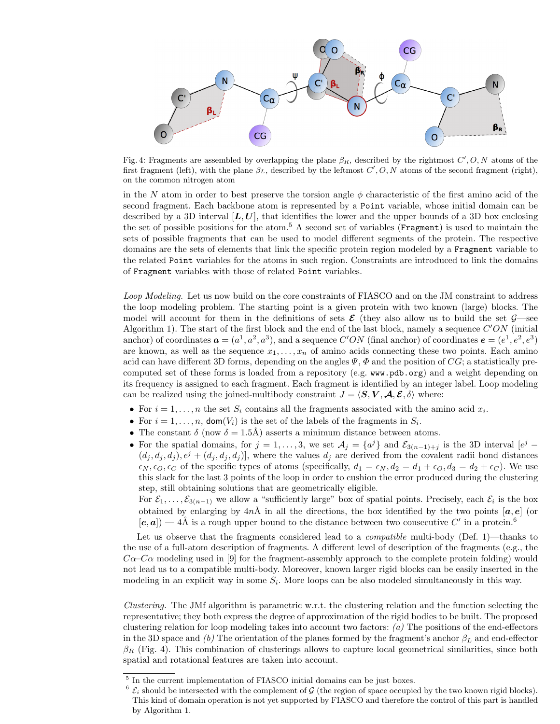

Fig. 4: Fragments are assembled by overlapping the plane  $\beta_R$ , described by the rightmost  $C', O, N$  atoms of the first fragment (left), with the plane  $\beta_L$ , described by the leftmost  $C', O, N$  atoms of the second fragment (right), on the common nitrogen atom

in the N atom in order to best preserve the torsion angle  $\phi$  characteristic of the first amino acid of the second fragment. Each backbone atom is represented by a Point variable, whose initial domain can be described by a 3D interval  $[L, U]$ , that identifies the lower and the upper bounds of a 3D box enclosing the set of possible positions for the atom.<sup>5</sup> A second set of variables (Fragment) is used to maintain the sets of possible fragments that can be used to model different segments of the protein. The respective domains are the sets of elements that link the specific protein region modeled by a Fragment variable to the related Point variables for the atoms in such region. Constraints are introduced to link the domains of Fragment variables with those of related Point variables.

Loop Modeling. Let us now build on the core constraints of FIASCO and on the JM constraint to address the loop modeling problem. The starting point is a given protein with two known (large) blocks. The model will account for them in the definitions of sets  $\mathcal E$  (they also allow us to build the set  $\mathcal G$ —see Algorithm 1). The start of the first block and the end of the last block, namely a sequence  $C'ON$  (initial anchor) of coordinates  $a = (a^1, a^2, a^3)$ , and a sequence  $C'ON$  (final anchor) of coordinates  $e = (e^1, e^2, e^3)$ are known, as well as the sequence  $x_1, \ldots, x_n$  of amino acids connecting these two points. Each amino acid can have different 3D forms, depending on the angles  $\Psi$ ,  $\Phi$  and the position of CG; a statistically precomputed set of these forms is loaded from a repository (e.g. www.pdb.org) and a weight depending on its frequency is assigned to each fragment. Each fragment is identified by an integer label. Loop modeling can be realized using the joined-multibody constraint  $J = \langle S, V, A, \mathcal{E}, \delta \rangle$  where:

- For  $i = 1, \ldots, n$  the set  $S_i$  contains all the fragments associated with the amino acid  $x_i$ .
- For  $i = 1, ..., n$ , dom $(V_i)$  is the set of the labels of the fragments in  $S_i$ .
- The constant  $\delta$  (now  $\delta = 1.5\text{\AA}$ ) asserts a minimum distance between atoms.
- For the spatial domains, for  $j = 1, \ldots, 3$ , we set  $\mathcal{A}_j = \{a^j\}$  and  $\mathcal{E}_{3(n-1)+j}$  is the 3D interval  $[e^j (d_j, d_j, d_j), e^j + (d_j, d_j, d_j)$ , where the values  $d_j$  are derived from the covalent radii bond distances  $\epsilon_N, \epsilon_O, \epsilon_C$  of the specific types of atoms (specifically,  $d_1 = \epsilon_N, d_2 = d_1 + \epsilon_O, d_3 = d_2 + \epsilon_C$ ). We use this slack for the last 3 points of the loop in order to cushion the error produced during the clustering step, still obtaining solutions that are geometrically eligible.

For  $\mathcal{E}_1,\ldots,\mathcal{E}_{3(n-1)}$  we allow a "sufficiently large" box of spatial points. Precisely, each  $\mathcal{E}_i$  is the box obtained by enlarging by  $4n\AA$  in all the directions, the box identified by the two points  $[a, e]$  (or  $[e, a]$  – 4Å is a rough upper bound to the distance between two consecutive C' in a protein.<sup>6</sup>

Let us observe that the fragments considered lead to a *compatible* multi-body (Def. 1)—thanks to the use of a full-atom description of fragments. A different level of description of the fragments (e.g., the  $C\alpha$ – $C\alpha$  modeling used in [9] for the fragment-assembly approach to the complete protein folding) would not lead us to a compatible multi-body. Moreover, known larger rigid blocks can be easily inserted in the modeling in an explicit way in some  $S_i$ . More loops can be also modeled simultaneously in this way.

Clustering. The JMf algorithm is parametric w.r.t. the clustering relation and the function selecting the representative; they both express the degree of approximation of the rigid bodies to be built. The proposed clustering relation for loop modeling takes into account two factors:  $(a)$  The positions of the end-effectors in the 3D space and (b) The orientation of the planes formed by the fragment's anchor  $\beta_L$  and end-effector  $\beta_R$  (Fig. 4). This combination of clusterings allows to capture local geometrical similarities, since both spatial and rotational features are taken into account.

<sup>&</sup>lt;sup>5</sup> In the current implementation of FIASCO initial domains can be just boxes.

 $^6$   $\mathcal{E}_i$  should be intersected with the complement of  $\mathcal{G}$  (the region of space occupied by the two known rigid blocks). This kind of domain operation is not yet supported by FIASCO and therefore the control of this part is handled by Algorithm 1.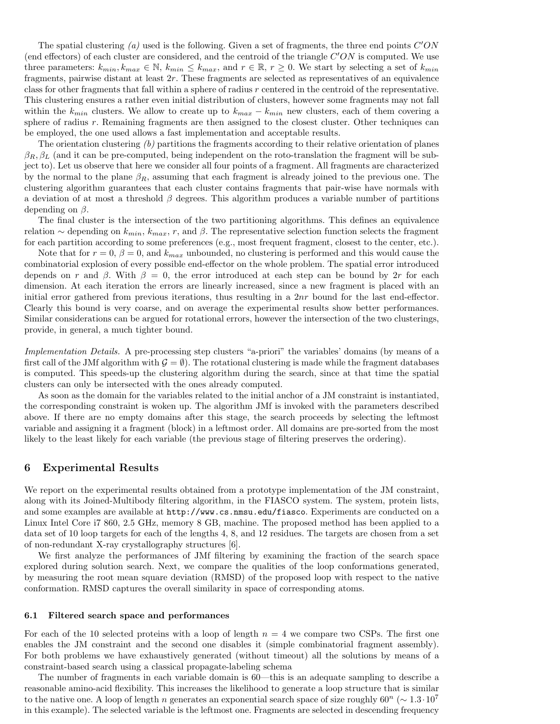The spatial clustering  $(a)$  used is the following. Given a set of fragments, the three end points  $C'ON$ (end effectors) of each cluster are considered, and the centroid of the triangle  $C'ON$  is computed. We use three parameters:  $k_{min}$ ,  $k_{max} \in \mathbb{N}$ ,  $k_{min} \leq k_{max}$ , and  $r \in \mathbb{R}$ ,  $r \geq 0$ . We start by selecting a set of  $k_{min}$ fragments, pairwise distant at least 2r. These fragments are selected as representatives of an equivalence class for other fragments that fall within a sphere of radius r centered in the centroid of the representative. This clustering ensures a rather even initial distribution of clusters, however some fragments may not fall within the  $k_{min}$  clusters. We allow to create up to  $k_{max} - k_{min}$  new clusters, each of them covering a sphere of radius  $r$ . Remaining fragments are then assigned to the closest cluster. Other techniques can be employed, the one used allows a fast implementation and acceptable results.

The orientation clustering  $(b)$  partitions the fragments according to their relative orientation of planes  $\beta_R$ ,  $\beta_L$  (and it can be pre-computed, being independent on the roto-translation the fragment will be subject to). Let us observe that here we consider all four points of a fragment. All fragments are characterized by the normal to the plane  $\beta_R$ , assuming that each fragment is already joined to the previous one. The clustering algorithm guarantees that each cluster contains fragments that pair-wise have normals with a deviation of at most a threshold  $\beta$  degrees. This algorithm produces a variable number of partitions depending on  $\beta$ .

The final cluster is the intersection of the two partitioning algorithms. This defines an equivalence relation  $\sim$  depending on  $k_{min}$ ,  $k_{max}$ , r, and  $\beta$ . The representative selection function selects the fragment for each partition according to some preferences (e.g., most frequent fragment, closest to the center, etc.).

Note that for  $r = 0$ ,  $\beta = 0$ , and  $k_{max}$  unbounded, no clustering is performed and this would cause the combinatorial explosion of every possible end-effector on the whole problem. The spatial error introduced depends on r and β. With  $\beta = 0$ , the error introduced at each step can be bound by 2r for each dimension. At each iteration the errors are linearly increased, since a new fragment is placed with an initial error gathered from previous iterations, thus resulting in a 2nr bound for the last end-effector. Clearly this bound is very coarse, and on average the experimental results show better performances. Similar considerations can be argued for rotational errors, however the intersection of the two clusterings, provide, in general, a much tighter bound.

Implementation Details. A pre-processing step clusters "a-priori" the variables' domains (by means of a first call of the JMf algorithm with  $\mathcal{G} = \emptyset$ . The rotational clustering is made while the fragment databases is computed. This speeds-up the clustering algorithm during the search, since at that time the spatial clusters can only be intersected with the ones already computed.

As soon as the domain for the variables related to the initial anchor of a JM constraint is instantiated, the corresponding constraint is woken up. The algorithm JMf is invoked with the parameters described above. If there are no empty domains after this stage, the search proceeds by selecting the leftmost variable and assigning it a fragment (block) in a leftmost order. All domains are pre-sorted from the most likely to the least likely for each variable (the previous stage of filtering preserves the ordering).

## 6 Experimental Results

We report on the experimental results obtained from a prototype implementation of the JM constraint, along with its Joined-Multibody filtering algorithm, in the FIASCO system. The system, protein lists, and some examples are available at http://www.cs.nmsu.edu/fiasco. Experiments are conducted on a Linux Intel Core i7 860, 2.5 GHz, memory 8 GB, machine. The proposed method has been applied to a data set of 10 loop targets for each of the lengths 4, 8, and 12 residues. The targets are chosen from a set of non-redundant X-ray crystallography structures [6].

We first analyze the performances of JMf filtering by examining the fraction of the search space explored during solution search. Next, we compare the qualities of the loop conformations generated, by measuring the root mean square deviation (RMSD) of the proposed loop with respect to the native conformation. RMSD captures the overall similarity in space of corresponding atoms.

#### 6.1 Filtered search space and performances

For each of the 10 selected proteins with a loop of length  $n = 4$  we compare two CSPs. The first one enables the JM constraint and the second one disables it (simple combinatorial fragment assembly). For both problems we have exhaustively generated (without timeout) all the solutions by means of a constraint-based search using a classical propagate-labeling schema

The number of fragments in each variable domain is 60—this is an adequate sampling to describe a reasonable amino-acid flexibility. This increases the likelihood to generate a loop structure that is similar to the native one. A loop of length n generates an exponential search space of size roughly  $60^n$  ( $\sim 1.3\cdot 10^7$ ) in this example). The selected variable is the leftmost one. Fragments are selected in descending frequency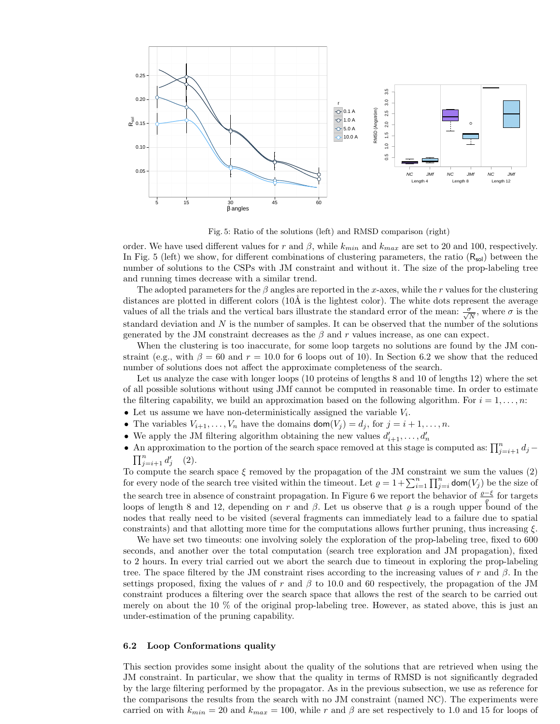

Fig. 5: Ratio of the solutions (left) and RMSD comparison (right)

order. We have used different values for r and  $\beta$ , while  $k_{min}$  and  $k_{max}$  are set to 20 and 100, respectively. In Fig. 5 (left) we show, for different combinations of clustering parameters, the ratio  $(R_{sol})$  between the number of solutions to the CSPs with JM constraint and without it. The size of the prop-labeling tree and running times decrease with a similar trend.

The adopted parameters for the  $\beta$  angles are reported in the x-axes, while the r values for the clustering distances are plotted in different colors (10Å is the lightest color). The white dots represent the average values of all the trials and the vertical bars illustrate the standard error of the mean:  $\frac{\sigma}{\sqrt{N}}$ , where  $\sigma$  is the standard deviation and  $N$  is the number of samples. It can be observed that the number of the solutions generated by the JM constraint decreases as the  $\beta$  and r values increase, as one can expect.

When the clustering is too inaccurate, for some loop targets no solutions are found by the JM constraint (e.g., with  $\beta = 60$  and  $r = 10.0$  for 6 loops out of 10). In Section 6.2 we show that the reduced number of solutions does not affect the approximate completeness of the search.

Let us analyze the case with longer loops (10 proteins of lengths 8 and 10 of lengths 12) where the set of all possible solutions without using JMf cannot be computed in reasonable time. In order to estimate the filtering capability, we build an approximation based on the following algorithm. For  $i = 1, \ldots, n$ :

- Let us assume we have non-deterministically assigned the variable  $V_i$ .
- The variables  $V_{i+1}, \ldots, V_n$  have the domains  $\text{dom}(V_j) = d_j$ , for  $j = i+1, \ldots, n$ .
- We apply the JM filtering algorithm obtaining the new values  $d'_{i+1}, \ldots, d'_n$
- An approximation to the portion of the search space removed at this stage is computed as:  $\prod_{j=i+1}^{n} d_j$  $\prod_{j=i+1}^{n} d'_j$  (2).

To compute the search space  $\xi$  removed by the propagation of the JM constraint we sum the values (2) for every node of the search tree visited within the timeout. Let  $\varrho = 1 + \sum_{i=1}^n \prod_{j=i}^n \text{dom}(V_j)$  be the size of the search tree in absence of constraint propagation. In Figure 6 we report the behavior of  $\frac{\rho-\xi}{\rho}$  for targets loops of length 8 and 12, depending on r and  $\beta$ . Let us observe that  $\rho$  is a rough upper bound of the nodes that really need to be visited (several fragments can immediately lead to a failure due to spatial constraints) and that allotting more time for the computations allows further pruning, thus increasing  $\xi$ .

We have set two timeouts: one involving solely the exploration of the prop-labeling tree, fixed to 600 seconds, and another over the total computation (search tree exploration and JM propagation), fixed to 2 hours. In every trial carried out we abort the search due to timeout in exploring the prop-labeling tree. The space filtered by the JM constraint rises according to the increasing values of r and  $\beta$ . In the settings proposed, fixing the values of r and  $\beta$  to 10.0 and 60 respectively, the propagation of the JM constraint produces a filtering over the search space that allows the rest of the search to be carried out merely on about the 10 % of the original prop-labeling tree. However, as stated above, this is just an under-estimation of the pruning capability.

#### 6.2 Loop Conformations quality

This section provides some insight about the quality of the solutions that are retrieved when using the JM constraint. In particular, we show that the quality in terms of RMSD is not significantly degraded by the large filtering performed by the propagator. As in the previous subsection, we use as reference for the comparisons the results from the search with no JM constraint (named NC). The experiments were carried on with  $k_{min} = 20$  and  $k_{max} = 100$ , while r and  $\beta$  are set respectively to 1.0 and 15 for loops of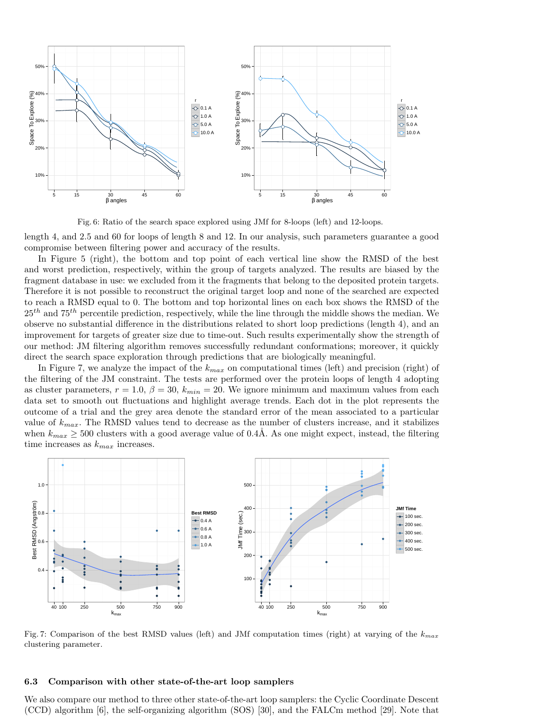

Fig. 6: Ratio of the search space explored using JMf for 8-loops (left) and 12-loops.

length 4, and 2.5 and 60 for loops of length 8 and 12. In our analysis, such parameters guarantee a good compromise between filtering power and accuracy of the results.

In Figure 5 (right), the bottom and top point of each vertical line show the RMSD of the best and worst prediction, respectively, within the group of targets analyzed. The results are biased by the fragment database in use: we excluded from it the fragments that belong to the deposited protein targets. Therefore it is not possible to reconstruct the original target loop and none of the searched are expected to reach a RMSD equal to 0. The bottom and top horizontal lines on each box shows the RMSD of the  $25<sup>th</sup>$  and 75<sup>th</sup> percentile prediction, respectively, while the line through the middle shows the median. We observe no substantial difference in the distributions related to short loop predictions (length 4), and an improvement for targets of greater size due to time-out. Such results experimentally show the strength of our method: JM filtering algorithm removes successfully redundant conformations; moreover, it quickly direct the search space exploration through predictions that are biologically meaningful.

In Figure 7, we analyze the impact of the  $k_{max}$  on computational times (left) and precision (right) of the filtering of the JM constraint. The tests are performed over the protein loops of length 4 adopting as cluster parameters,  $r = 1.0$ ,  $\beta = 30$ ,  $k_{min} = 20$ . We ignore minimum and maximum values from each data set to smooth out fluctuations and highlight average trends. Each dot in the plot represents the outcome of a trial and the grey area denote the standard error of the mean associated to a particular value of  $k_{max}$ . The RMSD values tend to decrease as the number of clusters increase, and it stabilizes when  $k_{max} \ge 500$  clusters with a good average value of 0.4Å. As one might expect, instead, the filtering time increases as  $k_{max}$  increases.



Fig. 7: Comparison of the best RMSD values (left) and JMf computation times (right) at varying of the  $k_{max}$ clustering parameter.

#### 6.3 Comparison with other state-of-the-art loop samplers

We also compare our method to three other state-of-the-art loop samplers: the Cyclic Coordinate Descent (CCD) algorithm [6], the self-organizing algorithm (SOS) [30], and the FALCm method [29]. Note that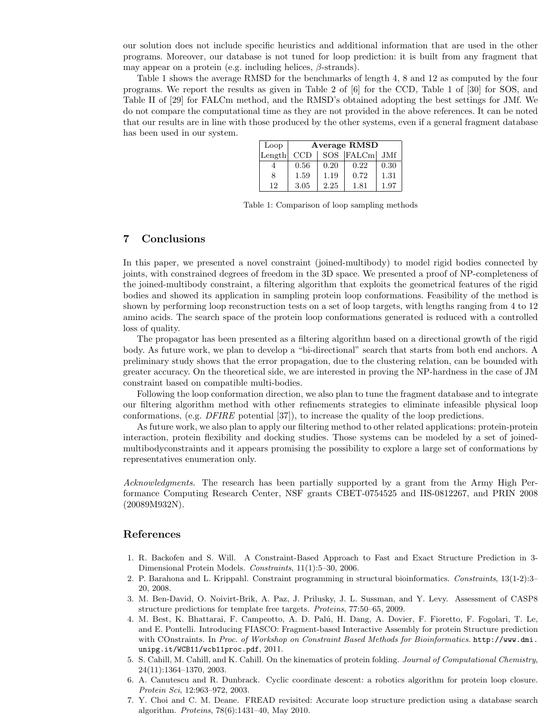our solution does not include specific heuristics and additional information that are used in the other programs. Moreover, our database is not tuned for loop prediction: it is built from any fragment that may appear on a protein (e.g. including helices,  $\beta$ -strands).

Table 1 shows the average RMSD for the benchmarks of length 4, 8 and 12 as computed by the four programs. We report the results as given in Table 2 of [6] for the CCD, Table 1 of [30] for SOS, and Table II of [29] for FALCm method, and the RMSD's obtained adopting the best settings for JMf. We do not compare the computational time as they are not provided in the above references. It can be noted that our results are in line with those produced by the other systems, even if a general fragment database has been used in our system.

| Loop   | <b>Average RMSD</b> |      |           |      |
|--------|---------------------|------|-----------|------|
| Length | CCD                 |      | SOS FALCm | JMf  |
|        | 0.56                | 0.20 | 0.22      | 0.30 |
| x      | 1.59                | 1.19 | 0.72      | 1.31 |
| 12     | 3.05                | 2.25 | 1.81      | 1.97 |

Table 1: Comparison of loop sampling methods

# 7 Conclusions

In this paper, we presented a novel constraint (joined-multibody) to model rigid bodies connected by joints, with constrained degrees of freedom in the 3D space. We presented a proof of NP-completeness of the joined-multibody constraint, a filtering algorithm that exploits the geometrical features of the rigid bodies and showed its application in sampling protein loop conformations. Feasibility of the method is shown by performing loop reconstruction tests on a set of loop targets, with lengths ranging from 4 to 12 amino acids. The search space of the protein loop conformations generated is reduced with a controlled loss of quality.

The propagator has been presented as a filtering algorithm based on a directional growth of the rigid body. As future work, we plan to develop a "bi-directional" search that starts from both end anchors. A preliminary study shows that the error propagation, due to the clustering relation, can be bounded with greater accuracy. On the theoretical side, we are interested in proving the NP-hardness in the case of JM constraint based on compatible multi-bodies.

Following the loop conformation direction, we also plan to tune the fragment database and to integrate our filtering algorithm method with other refinements strategies to eliminate infeasible physical loop conformations, (e.g. DFIRE potential [37]), to increase the quality of the loop predictions.

As future work, we also plan to apply our filtering method to other related applications: protein-protein interaction, protein flexibility and docking studies. Those systems can be modeled by a set of joinedmultibodyconstraints and it appears promising the possibility to explore a large set of conformations by representatives enumeration only.

Acknowledgments. The research has been partially supported by a grant from the Army High Performance Computing Research Center, NSF grants CBET-0754525 and IIS-0812267, and PRIN 2008 (20089M932N).

## References

- 1. R. Backofen and S. Will. A Constraint-Based Approach to Fast and Exact Structure Prediction in 3- Dimensional Protein Models. Constraints, 11(1):5–30, 2006.
- 2. P. Barahona and L. Krippahl. Constraint programming in structural bioinformatics. Constraints, 13(1-2):3– 20, 2008.
- 3. M. Ben-David, O. Noivirt-Brik, A. Paz, J. Prilusky, J. L. Sussman, and Y. Levy. Assessment of CASP8 structure predictions for template free targets. Proteins, 77:50–65, 2009.
- 4. M. Best, K. Bhattarai, F. Campeotto, A. D. Palú, H. Dang, A. Dovier, F. Fioretto, F. Fogolari, T. Le, and E. Pontelli. Introducing FIASCO: Fragment-based Interactive Assembly for protein Structure prediction with COnstraints. In Proc. of Workshop on Constraint Based Methods for Bioinformatics. http://www.dmi. unipg.it/WCB11/wcb11proc.pdf, 2011.
- 5. S. Cahill, M. Cahill, and K. Cahill. On the kinematics of protein folding. Journal of Computational Chemistry, 24(11):1364–1370, 2003.
- 6. A. Canutescu and R. Dunbrack. Cyclic coordinate descent: a robotics algorithm for protein loop closure. Protein Sci, 12:963–972, 2003.
- 7. Y. Choi and C. M. Deane. FREAD revisited: Accurate loop structure prediction using a database search algorithm. Proteins, 78(6):1431–40, May 2010.